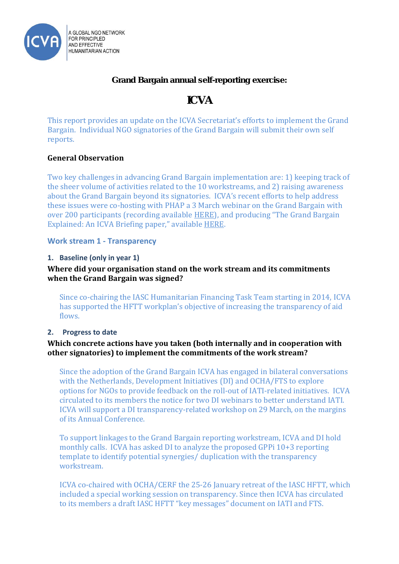

Grand Bargain annual self-reporting exercise:

# ICVA

This report provides an update on the ICVA Secretariat's efforts to implement the Grand Bargain. Individual NGO signatories of the Grand Bargain will submit their own self reports.

# **General Observation**

Two key challenges in advancing Grand Bargain implementation are: 1) keeping track of the sheer volume of activities related to the 10 workstreams, and 2) raising awareness about the Grand Bargain beyond its signatories. ICVA's recent efforts to help address these issues were co-hosting with PHAP a 3 March webinar on the Grand Bargain with over 200 participants (recording available [HERE\)](https://www.youtube.com/watch?v=E9moGeLp5Z0), and producing "The Grand Bargain Explained: An ICVA Briefing paper," available [HERE.](https://www.icvanetwork.org/resources/grand-bargain-explained-icva-briefing-paper-march-2017)

# **Work stream 1 - Transparency**

# **1. Baseline (only in year 1)**

# **Where did your organisation stand on the work stream and its commitments when the Grand Bargain was signed?**

Since co-chairing the IASC Humanitarian Financing Task Team starting in 2014, ICVA has supported the HFTT workplan's objective of increasing the transparency of aid flows.

## **2. Progress to date**

# **Which concrete actions have you taken (both internally and in cooperation with other signatories) to implement the commitments of the work stream?**

Since the adoption of the Grand Bargain ICVA has engaged in bilateral conversations with the Netherlands, Development Initiatives (DI) and OCHA/FTS to explore options for NGOs to provide feedback on the roll-out of IATI-related initiatives. ICVA circulated to its members the notice for two DI webinars to better understand IATI. ICVA will support a DI transparency-related workshop on 29 March, on the margins of its Annual Conference.

To support linkages to the Grand Bargain reporting workstream, ICVA and DI hold monthly calls. ICVA has asked DI to analyze the proposed GPPi 10+3 reporting template to identify potential synergies/ duplication with the transparency workstream.

ICVA co-chaired with OCHA/CERF the 25-26 January retreat of the IASC HFTT, which included a special working session on transparency. Since then ICVA has circulated to its members a draft IASC HFTT "key messages" document on IATI and FTS.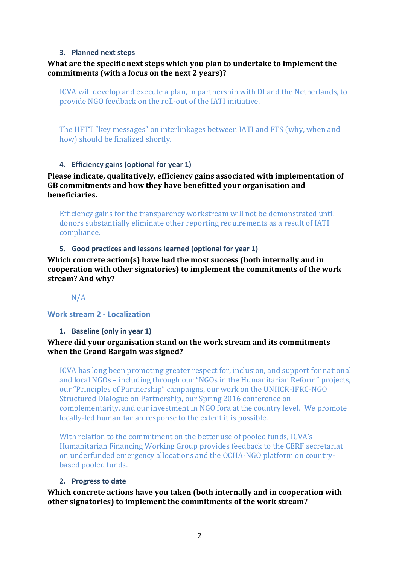#### **3. Planned next steps**

## **What are the specific next steps which you plan to undertake to implement the commitments (with a focus on the next 2 years)?**

ICVA will develop and execute a plan, in partnership with DI and the Netherlands, to provide NGO feedback on the roll-out of the IATI initiative.

The HFTT "key messages" on interlinkages between IATI and FTS (why, when and how) should be finalized shortly.

#### **4. Efficiency gains (optional for year 1)**

**Please indicate, qualitatively, efficiency gains associated with implementation of GB commitments and how they have benefitted your organisation and beneficiaries.** 

Efficiency gains for the transparency workstream will not be demonstrated until donors substantially eliminate other reporting requirements as a result of IATI compliance.

#### **5. Good practices and lessons learned (optional for year 1)**

**Which concrete action(s) have had the most success (both internally and in cooperation with other signatories) to implement the commitments of the work stream? And why?**

N/A

#### **Work stream 2 - Localization**

**1. Baseline (only in year 1)**

## **Where did your organisation stand on the work stream and its commitments when the Grand Bargain was signed?**

ICVA has long been promoting greater respect for, inclusion, and support for national and local NGOs – including through our "NGOs in the Humanitarian Reform" projects, our "Principles of Partnership" campaigns, our work on the UNHCR-IFRC-NGO Structured Dialogue on Partnership, our Spring 2016 conference on complementarity, and our investment in NGO fora at the country level. We promote locally-led humanitarian response to the extent it is possible.

With relation to the commitment on the better use of pooled funds, ICVA's Humanitarian Financing Working Group provides feedback to the CERF secretariat on underfunded emergency allocations and the OCHA-NGO platform on countrybased pooled funds.

#### **2. Progress to date**

**Which concrete actions have you taken (both internally and in cooperation with other signatories) to implement the commitments of the work stream?**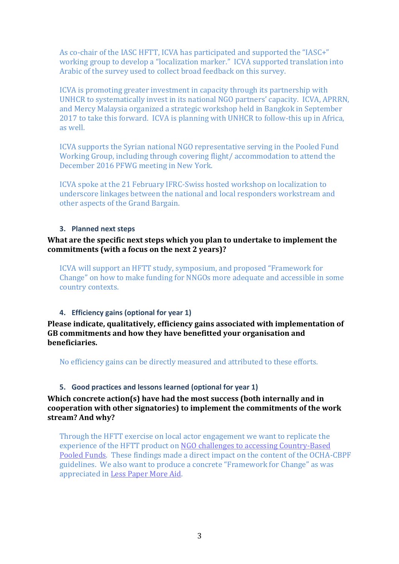As co-chair of the IASC HFTT, ICVA has participated and supported the "IASC+" working group to develop a "localization marker." ICVA supported translation into Arabic of the survey used to collect broad feedback on this survey.

ICVA is promoting greater investment in capacity through its partnership with UNHCR to systematically invest in its national NGO partners' capacity. ICVA, APRRN, and Mercy Malaysia organized a strategic workshop held in Bangkok in September 2017 to take this forward. ICVA is planning with UNHCR to follow-this up in Africa, as well.

ICVA supports the Syrian national NGO representative serving in the Pooled Fund Working Group, including through covering flight/ accommodation to attend the December 2016 PFWG meeting in New York.

ICVA spoke at the 21 February IFRC-Swiss hosted workshop on localization to underscore linkages between the national and local responders workstream and other aspects of the Grand Bargain.

#### **3. Planned next steps**

# **What are the specific next steps which you plan to undertake to implement the commitments (with a focus on the next 2 years)?**

ICVA will support an HFTT study, symposium, and proposed "Framework for Change" on how to make funding for NNGOs more adequate and accessible in some country contexts.

## **4. Efficiency gains (optional for year 1)**

**Please indicate, qualitatively, efficiency gains associated with implementation of GB commitments and how they have benefitted your organisation and beneficiaries.** 

No efficiency gains can be directly measured and attributed to these efforts.

## **5. Good practices and lessons learned (optional for year 1)**

## **Which concrete action(s) have had the most success (both internally and in cooperation with other signatories) to implement the commitments of the work stream? And why?**

Through the HFTT exercise on local actor engagement we want to replicate the experience of the HFTT product on [NGO challenges to accessing Country-Based](https://www.icvanetwork.org/resources/ngo-challenges-accessing-country-based-pooled-funds)  [Pooled Funds.](https://www.icvanetwork.org/resources/ngo-challenges-accessing-country-based-pooled-funds) These findings made a direct impact on the content of the OCHA-CBPF guidelines. We also want to produce a concrete "Framework for Change" as was appreciated in [Less Paper More Aid.](http://lesspapermoreaid.org/)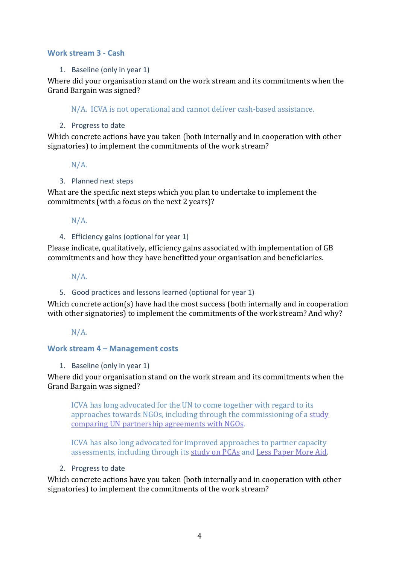#### **Work stream 3 - Cash**

#### 1. Baseline (only in year 1)

Where did your organisation stand on the work stream and its commitments when the Grand Bargain was signed?

N/A. ICVA is not operational and cannot deliver cash-based assistance.

#### 2. Progress to date

Which concrete actions have you taken (both internally and in cooperation with other signatories) to implement the commitments of the work stream?

N/A.

#### 3. Planned next steps

What are the specific next steps which you plan to undertake to implement the commitments (with a focus on the next 2 years)?

## N/A.

## 4. Efficiency gains (optional for year 1)

Please indicate, qualitatively, efficiency gains associated with implementation of GB commitments and how they have benefitted your organisation and beneficiaries.

## N/A.

## 5. Good practices and lessons learned (optional for year 1)

Which concrete action(s) have had the most success (both internally and in cooperation with other signatories) to implement the commitments of the work stream? And why?

N/A.

## **Work stream 4 – Management costs**

#### 1. Baseline (only in year 1)

Where did your organisation stand on the work stream and its commitments when the Grand Bargain was signed?

ICVA has long advocated for the UN to come together with regard to its approaches towards NGOs, including through the commissioning of [a study](https://www.icvanetwork.org/resources/comparison-review-un-partnership-agreements)  [comparing UN partnership agreements with NGOs.](https://www.icvanetwork.org/resources/comparison-review-un-partnership-agreements)

ICVA has also long advocated for improved approaches to partner capacity assessments, including through its [study on PCAs](https://www.icvanetwork.org/system/files/versions/150610_Partner_Capacity_Assessment_0.pdf) and [Less Paper More Aid.](http://lesspapermoreaid.org/)

#### 2. Progress to date

Which concrete actions have you taken (both internally and in cooperation with other signatories) to implement the commitments of the work stream?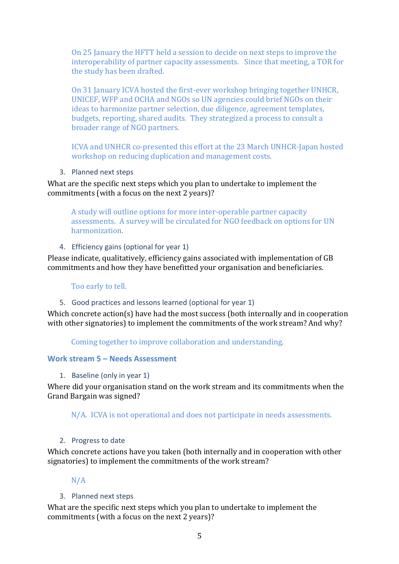On 25 January the HFTT held a session to decide on next steps to improve the interoperability of partner capacity assessments. Since that meeting, a TOR for the study has been drafted.

On 31 January ICVA hosted the first-ever workshop bringing together UNHCR, UNICEF, WFP and OCHA and NGOs so UN agencies could brief NGOs on their ideas to harmonize partner selection, due diligence, agreement templates, budgets, reporting, shared audits. They strategized a process to consult a broader range of NGO partners.

ICVA and UNHCR co-presented this effort at the 23 March UNHCR-Japan hosted workshop on reducing duplication and management costs.

3. Planned next steps

What are the specific next steps which you plan to undertake to implement the commitments (with a focus on the next 2 years)?

A study will outline options for more inter-operable partner capacity assessments. A survey will be circulated for NGO feedback on options for UN harmonization.

4. Efficiency gains (optional for year 1)

Please indicate, qualitatively, efficiency gains associated with implementation of GB commitments and how they have benefitted your organisation and beneficiaries.

#### Too early to tell.

#### 5. Good practices and lessons learned (optional for year 1)

Which concrete action(s) have had the most success (both internally and in cooperation with other signatories) to implement the commitments of the work stream? And why?

Coming together to improve collaboration and understanding.

## **Work stream 5 – Needs Assessment**

1. Baseline (only in year 1)

Where did your organisation stand on the work stream and its commitments when the Grand Bargain was signed?

N/A. ICVA is not operational and does not participate in needs assessments.

#### 2. Progress to date

Which concrete actions have you taken (both internally and in cooperation with other signatories) to implement the commitments of the work stream?

## N/A

## 3. Planned next steps

What are the specific next steps which you plan to undertake to implement the commitments (with a focus on the next 2 years)?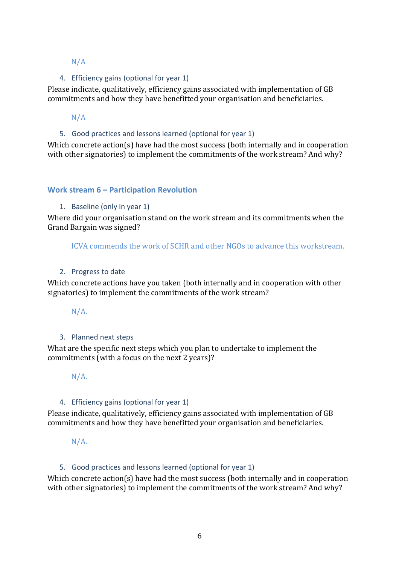# N/A

# 4. Efficiency gains (optional for year 1)

Please indicate, qualitatively, efficiency gains associated with implementation of GB commitments and how they have benefitted your organisation and beneficiaries.

# N/A

# 5. Good practices and lessons learned (optional for year 1)

Which concrete action(s) have had the most success (both internally and in cooperation with other signatories) to implement the commitments of the work stream? And why?

# **Work stream 6 – Participation Revolution**

## 1. Baseline (only in year 1)

Where did your organisation stand on the work stream and its commitments when the Grand Bargain was signed?

ICVA commends the work of SCHR and other NGOs to advance this workstream.

#### 2. Progress to date

Which concrete actions have you taken (both internally and in cooperation with other signatories) to implement the commitments of the work stream?

 $N/A$ .

## 3. Planned next steps

What are the specific next steps which you plan to undertake to implement the commitments (with a focus on the next 2 years)?

## $N/A$ .

## 4. Efficiency gains (optional for year 1)

Please indicate, qualitatively, efficiency gains associated with implementation of GB commitments and how they have benefitted your organisation and beneficiaries.

 $N/A$ .

## 5. Good practices and lessons learned (optional for year 1)

Which concrete action(s) have had the most success (both internally and in cooperation with other signatories) to implement the commitments of the work stream? And why?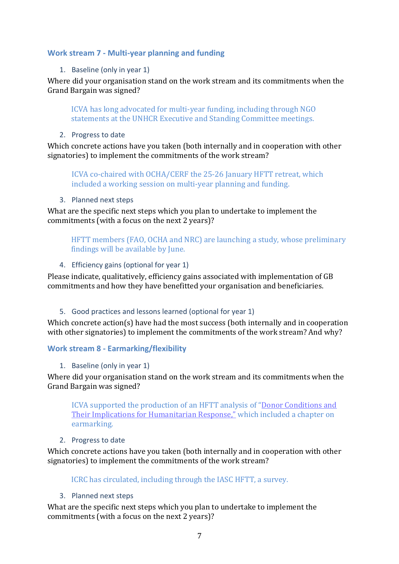# **Work stream 7 - Multi-year planning and funding**

## 1. Baseline (only in year 1)

Where did your organisation stand on the work stream and its commitments when the Grand Bargain was signed?

ICVA has long advocated for multi-year funding, including through NGO statements at the UNHCR Executive and Standing Committee meetings.

2. Progress to date

Which concrete actions have you taken (both internally and in cooperation with other signatories) to implement the commitments of the work stream?

ICVA co-chaired with OCHA/CERF the 25-26 January HFTT retreat, which included a working session on multi-year planning and funding.

3. Planned next steps

What are the specific next steps which you plan to undertake to implement the commitments (with a focus on the next 2 years)?

HFTT members (FAO, OCHA and NRC) are launching a study, whose preliminary findings will be available by June.

## 4. Efficiency gains (optional for year 1)

Please indicate, qualitatively, efficiency gains associated with implementation of GB commitments and how they have benefitted your organisation and beneficiaries.

## 5. Good practices and lessons learned (optional for year 1)

Which concrete action(s) have had the most success (both internally and in cooperation with other signatories) to implement the commitments of the work stream? And why?

## **Work stream 8 - Earmarking/flexibility**

1. Baseline (only in year 1)

Where did your organisation stand on the work stream and its commitments when the Grand Bargain was signed?

ICVA supported the production of an HFTT analysis of "[Donor Conditions and](https://interagencystandingcommittee.org/system/files/20160416_donor_conditions_study_final.pdf)  [Their Implications for Humanitarian Response,"](https://interagencystandingcommittee.org/system/files/20160416_donor_conditions_study_final.pdf) which included a chapter on earmarking.

## 2. Progress to date

Which concrete actions have you taken (both internally and in cooperation with other signatories) to implement the commitments of the work stream?

ICRC has circulated, including through the IASC HFTT, a survey.

## 3. Planned next steps

What are the specific next steps which you plan to undertake to implement the commitments (with a focus on the next 2 years)?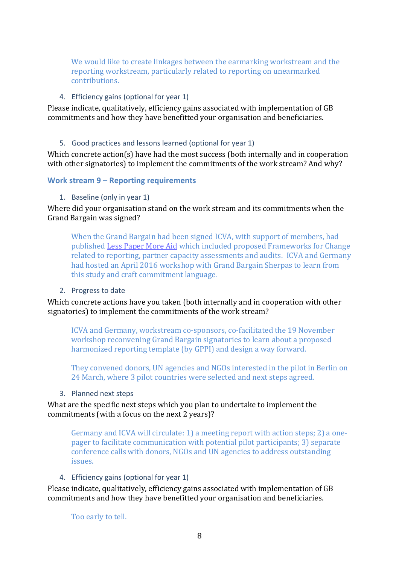We would like to create linkages between the earmarking workstream and the reporting workstream, particularly related to reporting on unearmarked contributions.

4. Efficiency gains (optional for year 1)

Please indicate, qualitatively, efficiency gains associated with implementation of GB commitments and how they have benefitted your organisation and beneficiaries.

#### 5. Good practices and lessons learned (optional for year 1)

Which concrete action(s) have had the most success (both internally and in cooperation with other signatories) to implement the commitments of the work stream? And why?

#### **Work stream 9 – Reporting requirements**

#### 1. Baseline (only in year 1)

Where did your organisation stand on the work stream and its commitments when the Grand Bargain was signed?

When the Grand Bargain had been signed ICVA, with support of members, had publishe[d Less Paper More Aid](http://lesspapermoreaid.org/) which included proposed Frameworks for Change related to reporting, partner capacity assessments and audits. ICVA and Germany had hosted an April 2016 workshop with Grand Bargain Sherpas to learn from this study and craft commitment language.

#### 2. Progress to date

Which concrete actions have you taken (both internally and in cooperation with other signatories) to implement the commitments of the work stream?

ICVA and Germany, workstream co-sponsors, co-facilitated the 19 November workshop reconvening Grand Bargain signatories to learn about a proposed harmonized reporting template (by GPPI) and design a way forward.

They convened donors, UN agencies and NGOs interested in the pilot in Berlin on 24 March, where 3 pilot countries were selected and next steps agreed.

3. Planned next steps

What are the specific next steps which you plan to undertake to implement the commitments (with a focus on the next 2 years)?

Germany and ICVA will circulate: 1) a meeting report with action steps; 2) a onepager to facilitate communication with potential pilot participants; 3) separate conference calls with donors, NGOs and UN agencies to address outstanding issues.

## 4. Efficiency gains (optional for year 1)

Please indicate, qualitatively, efficiency gains associated with implementation of GB commitments and how they have benefitted your organisation and beneficiaries.

Too early to tell.